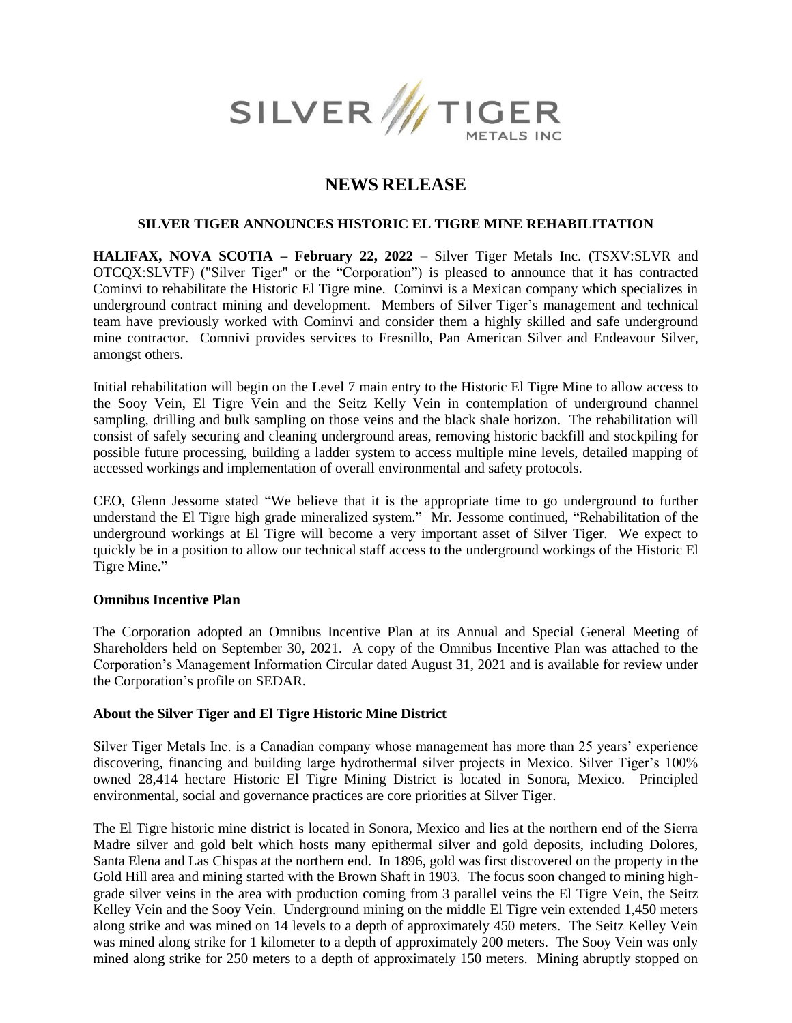

# **NEWS RELEASE**

# **SILVER TIGER ANNOUNCES HISTORIC EL TIGRE MINE REHABILITATION**

**HALIFAX, NOVA SCOTIA – February 22, 2022** – Silver Tiger Metals Inc. (TSXV:SLVR and OTCQX:SLVTF) ("Silver Tiger" or the "Corporation") is pleased to announce that it has contracted Cominvi to rehabilitate the Historic El Tigre mine. Cominvi is a Mexican company which specializes in underground contract mining and development. Members of Silver Tiger's management and technical team have previously worked with Cominvi and consider them a highly skilled and safe underground mine contractor. Comnivi provides services to Fresnillo, Pan American Silver and Endeavour Silver, amongst others.

Initial rehabilitation will begin on the Level 7 main entry to the Historic El Tigre Mine to allow access to the Sooy Vein, El Tigre Vein and the Seitz Kelly Vein in contemplation of underground channel sampling, drilling and bulk sampling on those veins and the black shale horizon. The rehabilitation will consist of safely securing and cleaning underground areas, removing historic backfill and stockpiling for possible future processing, building a ladder system to access multiple mine levels, detailed mapping of accessed workings and implementation of overall environmental and safety protocols.

CEO, Glenn Jessome stated "We believe that it is the appropriate time to go underground to further understand the El Tigre high grade mineralized system." Mr. Jessome continued, "Rehabilitation of the underground workings at El Tigre will become a very important asset of Silver Tiger. We expect to quickly be in a position to allow our technical staff access to the underground workings of the Historic El Tigre Mine."

## **Omnibus Incentive Plan**

The Corporation adopted an Omnibus Incentive Plan at its Annual and Special General Meeting of Shareholders held on September 30, 2021. A copy of the Omnibus Incentive Plan was attached to the Corporation's Management Information Circular dated August 31, 2021 and is available for review under the Corporation's profile on SEDAR.

## **About the Silver Tiger and El Tigre Historic Mine District**

Silver Tiger Metals Inc. is a Canadian company whose management has more than 25 years' experience discovering, financing and building large hydrothermal silver projects in Mexico. Silver Tiger's 100% owned 28,414 hectare Historic El Tigre Mining District is located in Sonora, Mexico. Principled environmental, social and governance practices are core priorities at Silver Tiger.

The El Tigre historic mine district is located in Sonora, Mexico and lies at the northern end of the Sierra Madre silver and gold belt which hosts many epithermal silver and gold deposits, including Dolores, Santa Elena and Las Chispas at the northern end. In 1896, gold was first discovered on the property in the Gold Hill area and mining started with the Brown Shaft in 1903. The focus soon changed to mining highgrade silver veins in the area with production coming from 3 parallel veins the El Tigre Vein, the Seitz Kelley Vein and the Sooy Vein. Underground mining on the middle El Tigre vein extended 1,450 meters along strike and was mined on 14 levels to a depth of approximately 450 meters. The Seitz Kelley Vein was mined along strike for 1 kilometer to a depth of approximately 200 meters. The Sooy Vein was only mined along strike for 250 meters to a depth of approximately 150 meters. Mining abruptly stopped on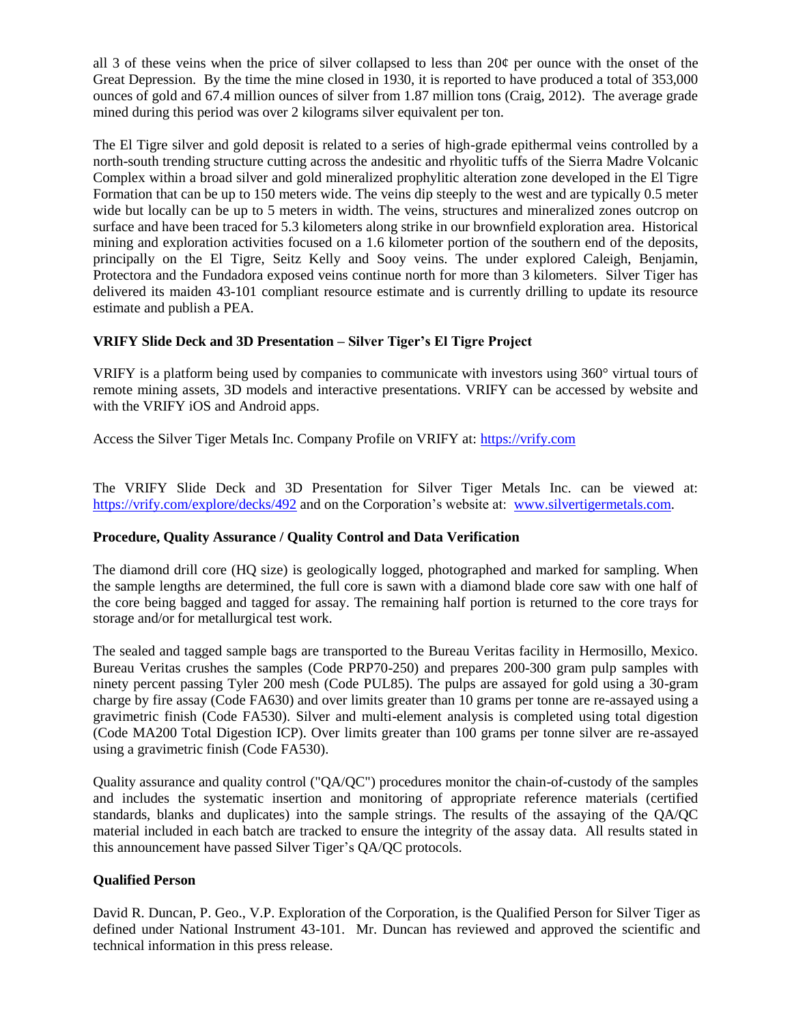all 3 of these veins when the price of silver collapsed to less than  $20¢$  per ounce with the onset of the Great Depression. By the time the mine closed in 1930, it is reported to have produced a total of 353,000 ounces of gold and 67.4 million ounces of silver from 1.87 million tons (Craig, 2012). The average grade mined during this period was over 2 kilograms silver equivalent per ton.

The El Tigre silver and gold deposit is related to a series of high-grade epithermal veins controlled by a north-south trending structure cutting across the andesitic and rhyolitic tuffs of the Sierra Madre Volcanic Complex within a broad silver and gold mineralized prophylitic alteration zone developed in the El Tigre Formation that can be up to 150 meters wide. The veins dip steeply to the west and are typically 0.5 meter wide but locally can be up to 5 meters in width. The veins, structures and mineralized zones outcrop on surface and have been traced for 5.3 kilometers along strike in our brownfield exploration area. Historical mining and exploration activities focused on a 1.6 kilometer portion of the southern end of the deposits, principally on the El Tigre, Seitz Kelly and Sooy veins. The under explored Caleigh, Benjamin, Protectora and the Fundadora exposed veins continue north for more than 3 kilometers. Silver Tiger has delivered its maiden 43-101 compliant resource estimate and is currently drilling to update its resource estimate and publish a PEA.

# **VRIFY Slide Deck and 3D Presentation – Silver Tiger's El Tigre Project**

VRIFY is a platform being used by companies to communicate with investors using 360° virtual tours of remote mining assets, 3D models and interactive presentations. VRIFY can be accessed by website and with the VRIFY iOS and Android apps.

Access the Silver Tiger Metals Inc. Company Profile on VRIFY at: [https://vrify.com](https://vrify.com/)

The VRIFY Slide Deck and 3D Presentation for Silver Tiger Metals Inc. can be viewed at: <https://vrify.com/explore/decks/492> and on the Corporation's website at: [www.silvertigermetals.com.](http://www.silvertigermetals.com/)

# **Procedure, Quality Assurance / Quality Control and Data Verification**

The diamond drill core (HQ size) is geologically logged, photographed and marked for sampling. When the sample lengths are determined, the full core is sawn with a diamond blade core saw with one half of the core being bagged and tagged for assay. The remaining half portion is returned to the core trays for storage and/or for metallurgical test work.

The sealed and tagged sample bags are transported to the Bureau Veritas facility in Hermosillo, Mexico. Bureau Veritas crushes the samples (Code PRP70-250) and prepares 200-300 gram pulp samples with ninety percent passing Tyler 200 mesh (Code PUL85). The pulps are assayed for gold using a 30-gram charge by fire assay (Code FA630) and over limits greater than 10 grams per tonne are re-assayed using a gravimetric finish (Code FA530). Silver and multi-element analysis is completed using total digestion (Code MA200 Total Digestion ICP). Over limits greater than 100 grams per tonne silver are re-assayed using a gravimetric finish (Code FA530).

Quality assurance and quality control ("QA/QC") procedures monitor the chain-of-custody of the samples and includes the systematic insertion and monitoring of appropriate reference materials (certified standards, blanks and duplicates) into the sample strings. The results of the assaying of the QA/QC material included in each batch are tracked to ensure the integrity of the assay data. All results stated in this announcement have passed Silver Tiger's QA/QC protocols.

## **Qualified Person**

David R. Duncan, P. Geo., V.P. Exploration of the Corporation, is the Qualified Person for Silver Tiger as defined under National Instrument 43-101. Mr. Duncan has reviewed and approved the scientific and technical information in this press release.